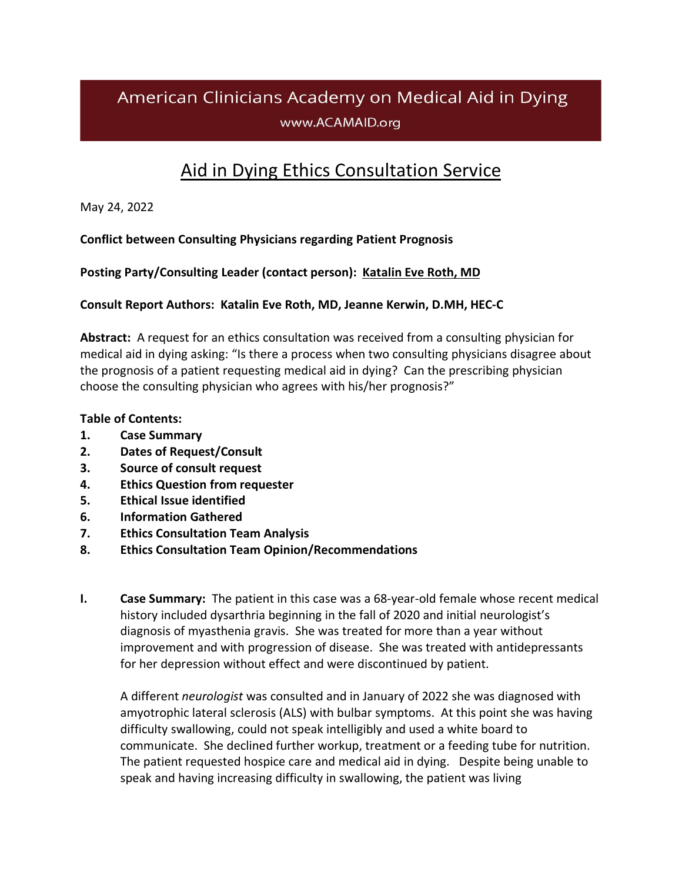# American Clinicians Academy on Medical Aid in Dying www.ACAMAID.org

## Aid in Dying Ethics [Consultation](https://www.acamaid.org/ethics/) Service

May 24, 2022

## **Conflict between Consulting Physicians regarding Patient Prognosis**

**Posting Party/Consulting Leader (contact person): [Katalin](mailto:ACAMAID@ACAMAID.org) Eve Roth, MD**

#### **Consult Report Authors: Katalin Eve Roth, MD, Jeanne Kerwin, D.MH, HEC-C**

**Abstract:** A request for an ethics consultation was received from a consulting physician for medical aid in dying asking: "Is there a process when two consulting physicians disagree about the prognosis of a patient requesting medical aid in dying? Can the prescribing physician choose the consulting physician who agrees with his/her prognosis?"

#### **Table of Contents:**

- **1. Case Summary**
- **2. Dates of Request/Consult**
- **3. Source of consult request**
- **4. Ethics Question from requester**
- **5. Ethical Issue identified**
- **6. Information Gathered**
- **7. Ethics Consultation Team Analysis**
- **8. Ethics Consultation Team Opinion/Recommendations**
- **I. Case Summary:** The patient in this case was a 68-year-old female whose recent medical history included dysarthria beginning in the fall of 2020 and initial neurologist's diagnosis of myasthenia gravis. She was treated for more than a year without improvement and with progression of disease. She was treated with antidepressants for her depression without effect and were discontinued by patient.

A different *neurologist* was consulted and in January of 2022 she was diagnosed with amyotrophic lateral sclerosis (ALS) with bulbar symptoms. At this point she was having difficulty swallowing, could not speak intelligibly and used a white board to communicate. She declined further workup, treatment or a feeding tube for nutrition. The patient requested hospice care and medical aid in dying. Despite being unable to speak and having increasing difficulty in swallowing, the patient was living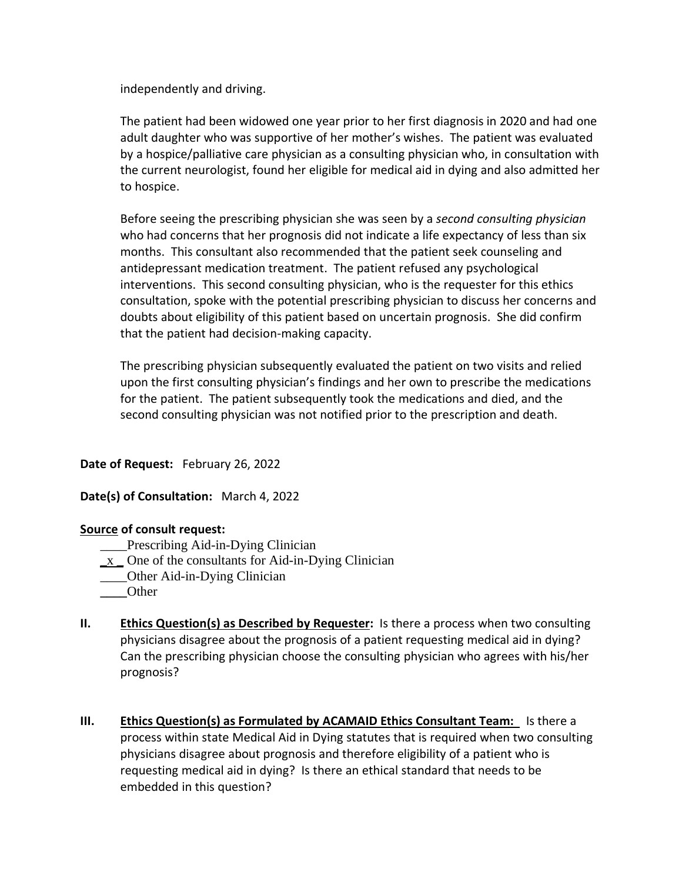independently and driving.

The patient had been widowed one year prior to her first diagnosis in 2020 and had one adult daughter who was supportive of her mother's wishes. The patient was evaluated by a hospice/palliative care physician as a consulting physician who, in consultation with the current neurologist, found her eligible for medical aid in dying and also admitted her to hospice.

Before seeing the prescribing physician she was seen by a *second consulting physician* who had concerns that her prognosis did not indicate a life expectancy of less than six months. This consultant also recommended that the patient seek counseling and antidepressant medication treatment. The patient refused any psychological interventions. This second consulting physician, who is the requester for this ethics consultation, spoke with the potential prescribing physician to discuss her concerns and doubts about eligibility of this patient based on uncertain prognosis. She did confirm that the patient had decision-making capacity.

The prescribing physician subsequently evaluated the patient on two visits and relied upon the first consulting physician's findings and her own to prescribe the medications for the patient. The patient subsequently took the medications and died, and the second consulting physician was not notified prior to the prescription and death.

#### **Date of Request:** February 26, 2022

#### **Date(s) of Consultation:** March 4, 2022

#### **Source of consult request:**

- \_\_\_\_Prescribing Aid-in-Dying Clinician
- **\_**x **\_** One of the consultants for Aid-in-Dying Clinician
- \_\_\_\_Other Aid-in-Dying Clinician
- **\_\_\_\_**Other
- **II. Ethics Question(s) as Described by Requester:** Is there a process when two consulting physicians disagree about the prognosis of a patient requesting medical aid in dying? Can the prescribing physician choose the consulting physician who agrees with his/her prognosis?
- **III. Ethics Question(s) as Formulated by ACAMAID Ethics Consultant Team:** Is there a process within state Medical Aid in Dying statutes that is required when two consulting physicians disagree about prognosis and therefore eligibility of a patient who is requesting medical aid in dying? Is there an ethical standard that needs to be embedded in this question?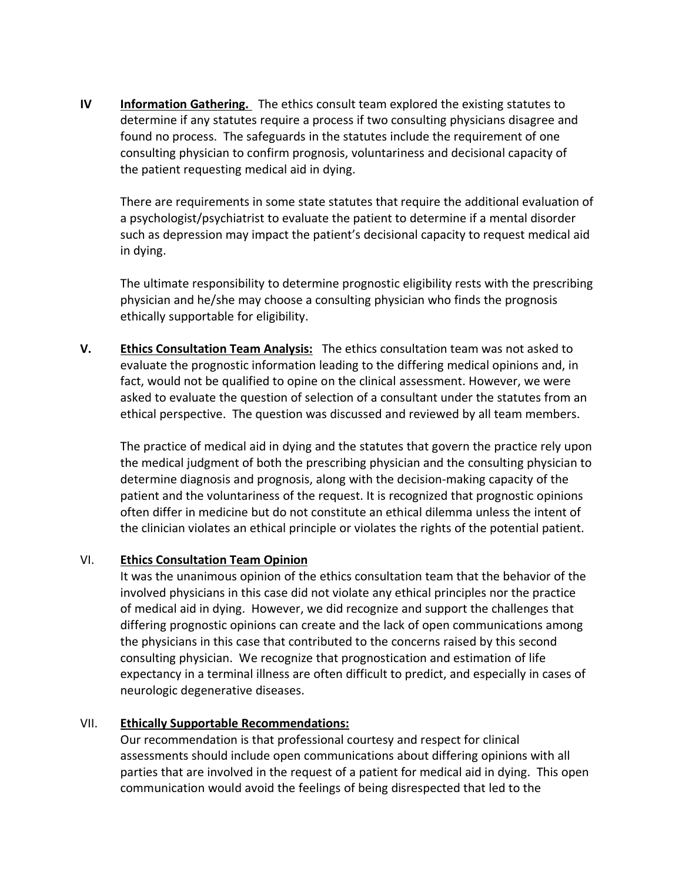**IV Information Gathering.** The ethics consult team explored the existing statutes to determine if any statutes require a process if two consulting physicians disagree and found no process. The safeguards in the statutes include the requirement of one consulting physician to confirm prognosis, voluntariness and decisional capacity of the patient requesting medical aid in dying.

There are requirements in some state statutes that require the additional evaluation of a psychologist/psychiatrist to evaluate the patient to determine if a mental disorder such as depression may impact the patient's decisional capacity to request medical aid in dying.

The ultimate responsibility to determine prognostic eligibility rests with the prescribing physician and he/she may choose a consulting physician who finds the prognosis ethically supportable for eligibility.

**V. Ethics Consultation Team Analysis:** The ethics consultation team was not asked to evaluate the prognostic information leading to the differing medical opinions and, in fact, would not be qualified to opine on the clinical assessment. However, we were asked to evaluate the question of selection of a consultant under the statutes from an ethical perspective. The question was discussed and reviewed by all team members.

The practice of medical aid in dying and the statutes that govern the practice rely upon the medical judgment of both the prescribing physician and the consulting physician to determine diagnosis and prognosis, along with the decision-making capacity of the patient and the voluntariness of the request. It is recognized that prognostic opinions often differ in medicine but do not constitute an ethical dilemma unless the intent of the clinician violates an ethical principle or violates the rights of the potential patient.

#### VI. **Ethics Consultation Team Opinion**

It was the unanimous opinion of the ethics consultation team that the behavior of the involved physicians in this case did not violate any ethical principles nor the practice of medical aid in dying. However, we did recognize and support the challenges that differing prognostic opinions can create and the lack of open communications among the physicians in this case that contributed to the concerns raised by this second consulting physician. We recognize that prognostication and estimation of life expectancy in a terminal illness are often difficult to predict, and especially in cases of neurologic degenerative diseases.

## VII. **Ethically Supportable Recommendations:**

Our recommendation is that professional courtesy and respect for clinical assessments should include open communications about differing opinions with all parties that are involved in the request of a patient for medical aid in dying. This open communication would avoid the feelings of being disrespected that led to the